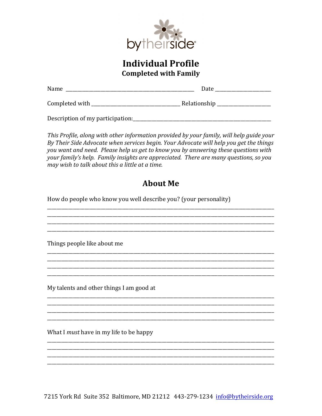

## **Individual Profile Completed with Family**

| Name                             | Date         |  |
|----------------------------------|--------------|--|
| Completed with                   | Relationship |  |
| Description of my participation: |              |  |

This Profile, along with other information provided by your family, will help guide your By Their Side Advocate when services begin. Your Advocate will help you get the things you want and need. Please help us get to know you by answering these questions with your family's help. Family insights are appreciated. There are many questions, so you may wish to talk about this a little at a time.

## **About Me**

How do people who know you well describe you? (your personality)

Things people like about me

My talents and other things I am good at

What I must have in my life to be happy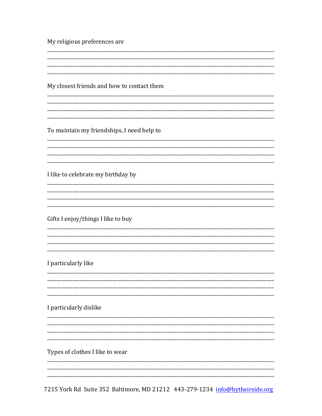My religious preferences are

My closest friends and how to contact them

To maintain my friendships, I need help to

I like to celebrate my birthday by

Gifts I enjoy/things I like to buy

I particularly like

I particularly dislike

Types of clothes I like to wear

7215 York Rd Suite 352 Baltimore, MD 21212 443-279-1234 info@bytheirside.org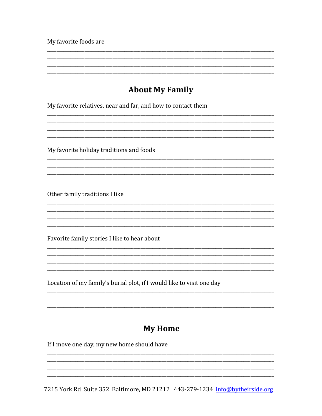My favorite foods are

## **About My Family**

My favorite relatives, near and far, and how to contact them

My favorite holiday traditions and foods

Other family traditions I like

Favorite family stories I like to hear about

Location of my family's burial plot, if I would like to visit one day

## **My Home**

If I move one day, my new home should have

7215 York Rd Suite 352 Baltimore, MD 21212 443-279-1234 info@bytheirside.org

<u> 1999 - Jan James James James James James James James James James James James James James James James James</u>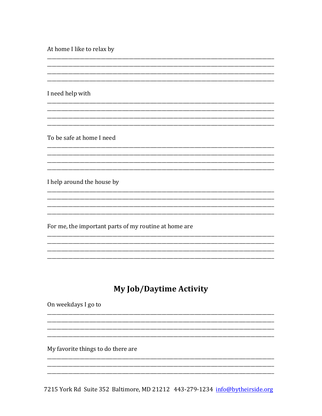At home I like to relax by

I need help with

To be safe at home I need

I help around the house by

For me, the important parts of my routine at home are

## **My Job/Daytime Activity**

On weekdays I go to

My favorite things to do there are

7215 York Rd Suite 352 Baltimore, MD 21212 443-279-1234 info@bytheirside.org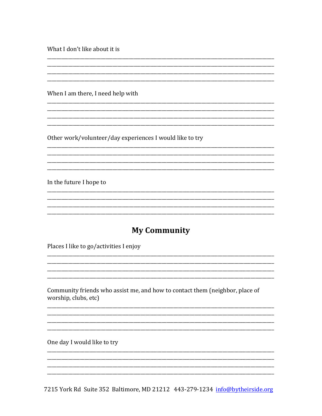What I don't like about it is

When I am there, I need help with

Other work/volunteer/day experiences I would like to try

In the future I hope to

#### **My Community**

Places I like to go/activities I enjoy

Community friends who assist me, and how to contact them (neighbor, place of worship, clubs, etc)

One day I would like to try

7215 York Rd Suite 352 Baltimore, MD 21212 443-279-1234 info@bytheirside.org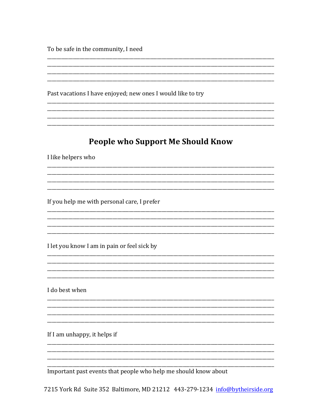To be safe in the community, I need

Past vacations I have enjoyed; new ones I would like to try

## **People who Support Me Should Know**

<u> 1989 - Johann Barnett, fransk politiker (d. 1989)</u>

I like helpers who

If you help me with personal care, I prefer

I let you know I am in pain or feel sick by

I do best when

If I am unhappy, it helps if

Important past events that people who help me should know about

7215 York Rd Suite 352 Baltimore, MD 21212 443-279-1234 info@bytheirside.org